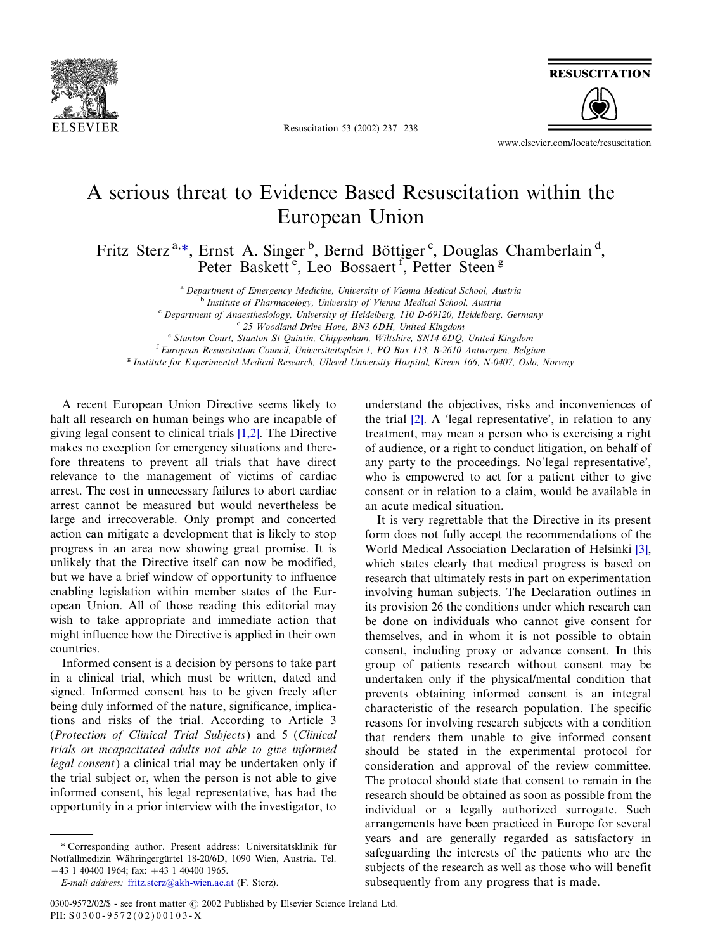

Resuscitation 53 (2002) 237-/238





www.elsevier.com/locate/resuscitation

## A serious threat to Evidence Based Resuscitation within the European Union

Fritz Sterz<sup>a,\*</sup>, Ernst A. Singer<sup>b</sup>, Bernd Böttiger<sup>c</sup>, Douglas Chamberlain<sup>d</sup>, Peter Baskett<sup>e</sup>, Leo Bossaert<sup>f</sup>, Petter Steen<sup>g</sup>

<sup>a</sup> Department of Emergency Medicine, University of Vienna Medical School, Austria<br>b Institute of Pharmacology, University of Vienna Medical School, Austria<br><sup>c</sup> Department of Anaesthesiology, University of Heidelberg, 110

<sup>e</sup> Stanton Court, Stanton St Quintin, Chippenham, Wiltshire, SN14 6DQ, United Kingdom <sup>f</sup> European Resuscitation Council, Universiteitsplein 1, PO Box 113, B-2610 Antwerpen, Belgium

<sup>g</sup> Institute for Experimental Medical Research, Ulleval University Hospital, Kirevn 166, N-0407, Oslo, Norway

A recent European Union Directive seems likely to halt all research on human beings who are incapable of giving legal consent to clinical trials [\[1,2\].](#page-1-0) The Directive makes no exception for emergency situations and therefore threatens to prevent all trials that have direct relevance to the management of victims of cardiac arrest. The cost in unnecessary failures to abort cardiac arrest cannot be measured but would nevertheless be large and irrecoverable. Only prompt and concerted action can mitigate a development that is likely to stop progress in an area now showing great promise. It is unlikely that the Directive itself can now be modified, but we have a brief window of opportunity to influence enabling legislation within member states of the European Union. All of those reading this editorial may wish to take appropriate and immediate action that might influence how the Directive is applied in their own countries.

Informed consent is a decision by persons to take part in a clinical trial, which must be written, dated and signed. Informed consent has to be given freely after being duly informed of the nature, significance, implications and risks of the trial. According to Article 3 (Protection of Clinical Trial Subjects) and 5 (Clinical trials on incapacitated adults not able to give informed legal consent) a clinical trial may be undertaken only if the trial subject or, when the person is not able to give informed consent, his legal representative, has had the opportunity in a prior interview with the investigator, to

\* Corresponding author. Present address: Universitätsklinik für Notfallmedizin Währingergürtel 18-20/6D, 1090 Wien, Austria. Tel.  $+43$  1 40400 1964; fax:  $+43$  1 40400 1965.

understand the objectives, risks and inconveniences of the trial [\[2\].](#page-1-0) A 'legal representative', in relation to any treatment, may mean a person who is exercising a right of audience, or a right to conduct litigation, on behalf of any party to the proceedings. No'legal representative', who is empowered to act for a patient either to give consent or in relation to a claim, would be available in an acute medical situation.

It is very regrettable that the Directive in its present form does not fully accept the recommendations of the World Medical Association Declaration of Helsinki [\[3\]](#page-1-0), which states clearly that medical progress is based on research that ultimately rests in part on experimentation involving human subjects. The Declaration outlines in its provision 26 the conditions under which research can be done on individuals who cannot give consent for themselves, and in whom it is not possible to obtain consent, including proxy or advance consent. In this group of patients research without consent may be undertaken only if the physical/mental condition that prevents obtaining informed consent is an integral characteristic of the research population. The specific reasons for involving research subjects with a condition that renders them unable to give informed consent should be stated in the experimental protocol for consideration and approval of the review committee. The protocol should state that consent to remain in the research should be obtained as soon as possible from the individual or a legally authorized surrogate. Such arrangements have been practiced in Europe for several years and are generally regarded as satisfactory in safeguarding the interests of the patients who are the subjects of the research as well as those who will benefit subsequently from any progress that is made.

E-mail address: [fritz.sterz@akh-wien.ac.at](mailto:fritz.sterz@akh-wien.ac.at) (F. Sterz).